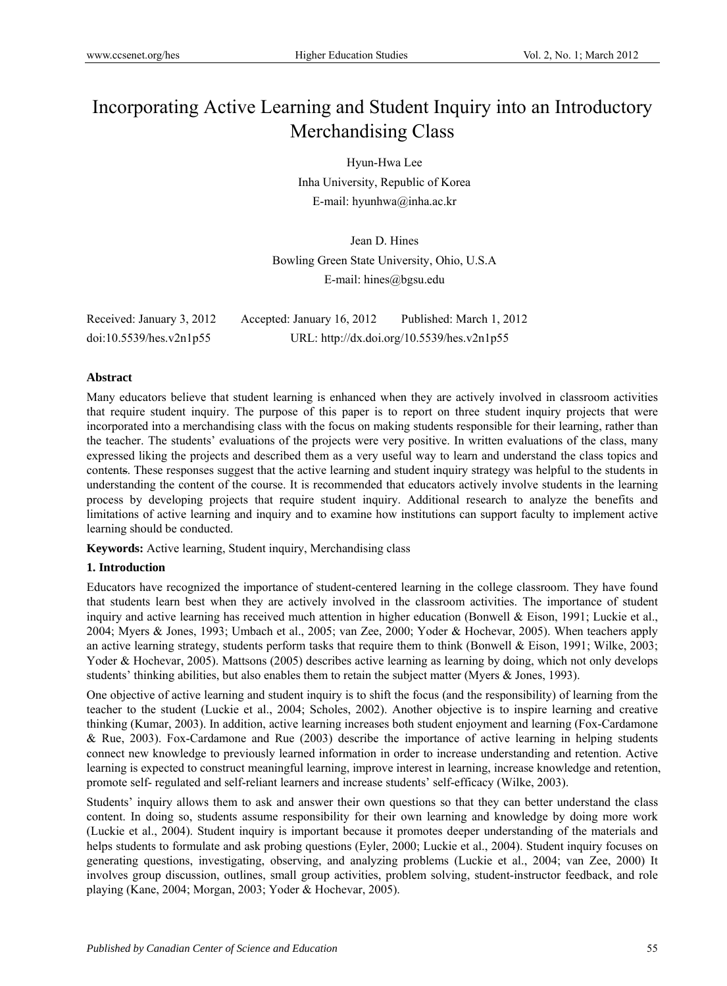## Incorporating Active Learning and Student Inquiry into an Introductory Merchandising Class

Hyun-Hwa Lee

Inha University, Republic of Korea E-mail: hyunhwa@inha.ac.kr

Jean D. Hines Bowling Green State University, Ohio, U.S.A E-mail: hines@bgsu.edu

| Received: January 3, 2012 | Accepted: January 16, 2012                 | Published: March 1, 2012 |
|---------------------------|--------------------------------------------|--------------------------|
| doi:10.5539/hes.v2n1p55   | URL: http://dx.doi.org/10.5539/hes.v2n1p55 |                          |

## **Abstract**

Many educators believe that student learning is enhanced when they are actively involved in classroom activities that require student inquiry. The purpose of this paper is to report on three student inquiry projects that were incorporated into a merchandising class with the focus on making students responsible for their learning, rather than the teacher. The students' evaluations of the projects were very positive. In written evaluations of the class, many expressed liking the projects and described them as a very useful way to learn and understand the class topics and contents. These responses suggest that the active learning and student inquiry strategy was helpful to the students in understanding the content of the course. It is recommended that educators actively involve students in the learning process by developing projects that require student inquiry. Additional research to analyze the benefits and limitations of active learning and inquiry and to examine how institutions can support faculty to implement active learning should be conducted.

**Keywords:** Active learning, Student inquiry, Merchandising class

## **1. Introduction**

Educators have recognized the importance of student-centered learning in the college classroom. They have found that students learn best when they are actively involved in the classroom activities. The importance of student inquiry and active learning has received much attention in higher education (Bonwell & Eison, 1991; Luckie et al., 2004; Myers & Jones, 1993; Umbach et al., 2005; van Zee, 2000; Yoder & Hochevar, 2005). When teachers apply an active learning strategy, students perform tasks that require them to think (Bonwell & Eison, 1991; Wilke, 2003; Yoder & Hochevar, 2005). Mattsons (2005) describes active learning as learning by doing, which not only develops students' thinking abilities, but also enables them to retain the subject matter (Myers & Jones, 1993).

One objective of active learning and student inquiry is to shift the focus (and the responsibility) of learning from the teacher to the student (Luckie et al., 2004; Scholes, 2002). Another objective is to inspire learning and creative thinking (Kumar, 2003). In addition, active learning increases both student enjoyment and learning (Fox-Cardamone & Rue, 2003). Fox-Cardamone and Rue (2003) describe the importance of active learning in helping students connect new knowledge to previously learned information in order to increase understanding and retention. Active learning is expected to construct meaningful learning, improve interest in learning, increase knowledge and retention, promote self- regulated and self-reliant learners and increase students' self-efficacy (Wilke, 2003).

Students' inquiry allows them to ask and answer their own questions so that they can better understand the class content. In doing so, students assume responsibility for their own learning and knowledge by doing more work (Luckie et al., 2004). Student inquiry is important because it promotes deeper understanding of the materials and helps students to formulate and ask probing questions (Eyler, 2000; Luckie et al., 2004). Student inquiry focuses on generating questions, investigating, observing, and analyzing problems (Luckie et al., 2004; van Zee, 2000) It involves group discussion, outlines, small group activities, problem solving, student-instructor feedback, and role playing (Kane, 2004; Morgan, 2003; Yoder & Hochevar, 2005).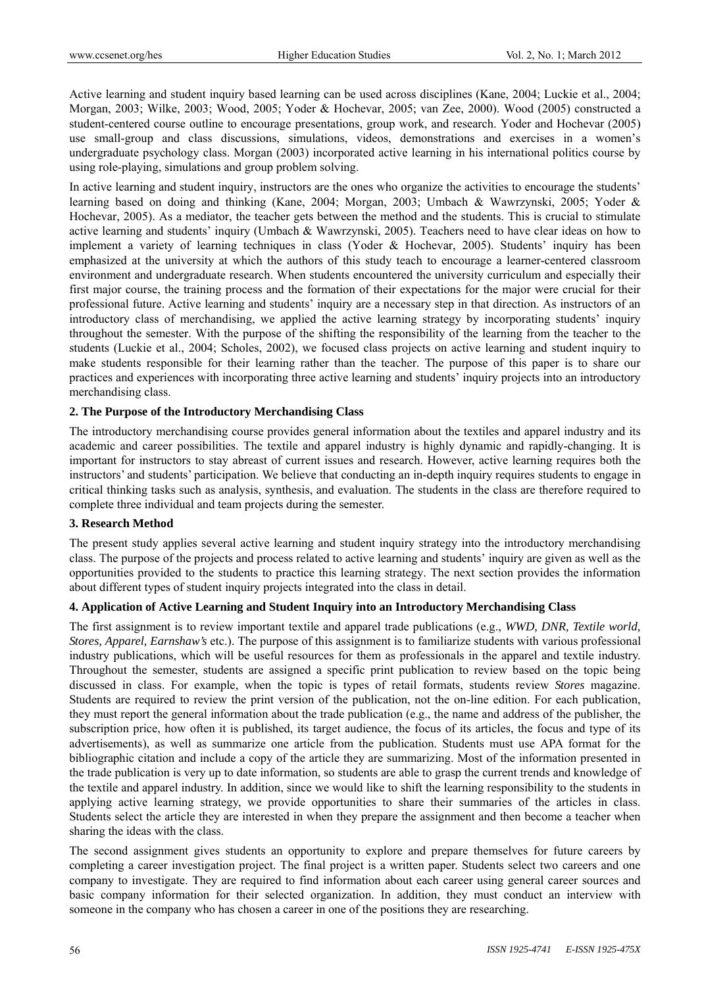Active learning and student inquiry based learning can be used across disciplines (Kane, 2004; Luckie et al., 2004; Morgan, 2003; Wilke, 2003; Wood, 2005; Yoder & Hochevar, 2005; van Zee, 2000). Wood (2005) constructed a student-centered course outline to encourage presentations, group work, and research. Yoder and Hochevar (2005) use small-group and class discussions, simulations, videos, demonstrations and exercises in a women's undergraduate psychology class. Morgan (2003) incorporated active learning in his international politics course by using role-playing, simulations and group problem solving.

In active learning and student inquiry, instructors are the ones who organize the activities to encourage the students' learning based on doing and thinking (Kane, 2004; Morgan, 2003; Umbach & Wawrzynski, 2005; Yoder & Hochevar, 2005). As a mediator, the teacher gets between the method and the students. This is crucial to stimulate active learning and students' inquiry (Umbach & Wawrzynski, 2005). Teachers need to have clear ideas on how to implement a variety of learning techniques in class (Yoder & Hochevar, 2005). Students' inquiry has been emphasized at the university at which the authors of this study teach to encourage a learner-centered classroom environment and undergraduate research. When students encountered the university curriculum and especially their first major course, the training process and the formation of their expectations for the major were crucial for their professional future. Active learning and students' inquiry are a necessary step in that direction. As instructors of an introductory class of merchandising, we applied the active learning strategy by incorporating students' inquiry throughout the semester. With the purpose of the shifting the responsibility of the learning from the teacher to the students (Luckie et al., 2004; Scholes, 2002), we focused class projects on active learning and student inquiry to make students responsible for their learning rather than the teacher. The purpose of this paper is to share our practices and experiences with incorporating three active learning and students' inquiry projects into an introductory merchandising class.

#### **2. The Purpose of the Introductory Merchandising Class**

The introductory merchandising course provides general information about the textiles and apparel industry and its academic and career possibilities. The textile and apparel industry is highly dynamic and rapidly-changing. It is important for instructors to stay abreast of current issues and research. However, active learning requires both the instructors' and students' participation. We believe that conducting an in-depth inquiry requires students to engage in critical thinking tasks such as analysis, synthesis, and evaluation. The students in the class are therefore required to complete three individual and team projects during the semester.

#### **3. Research Method**

The present study applies several active learning and student inquiry strategy into the introductory merchandising class. The purpose of the projects and process related to active learning and students' inquiry are given as well as the opportunities provided to the students to practice this learning strategy. The next section provides the information about different types of student inquiry projects integrated into the class in detail.

## **4. Application of Active Learning and Student Inquiry into an Introductory Merchandising Class**

The first assignment is to review important textile and apparel trade publications (e.g., *WWD, DNR, Textile world, Stores, Apparel, Earnshaw's* etc.). The purpose of this assignment is to familiarize students with various professional industry publications, which will be useful resources for them as professionals in the apparel and textile industry. Throughout the semester, students are assigned a specific print publication to review based on the topic being discussed in class. For example, when the topic is types of retail formats, students review *Stores* magazine. Students are required to review the print version of the publication, not the on-line edition. For each publication, they must report the general information about the trade publication (e.g., the name and address of the publisher, the subscription price, how often it is published, its target audience, the focus of its articles, the focus and type of its advertisements), as well as summarize one article from the publication. Students must use APA format for the bibliographic citation and include a copy of the article they are summarizing. Most of the information presented in the trade publication is very up to date information, so students are able to grasp the current trends and knowledge of the textile and apparel industry. In addition, since we would like to shift the learning responsibility to the students in applying active learning strategy, we provide opportunities to share their summaries of the articles in class. Students select the article they are interested in when they prepare the assignment and then become a teacher when sharing the ideas with the class.

The second assignment gives students an opportunity to explore and prepare themselves for future careers by completing a career investigation project. The final project is a written paper. Students select two careers and one company to investigate. They are required to find information about each career using general career sources and basic company information for their selected organization. In addition, they must conduct an interview with someone in the company who has chosen a career in one of the positions they are researching.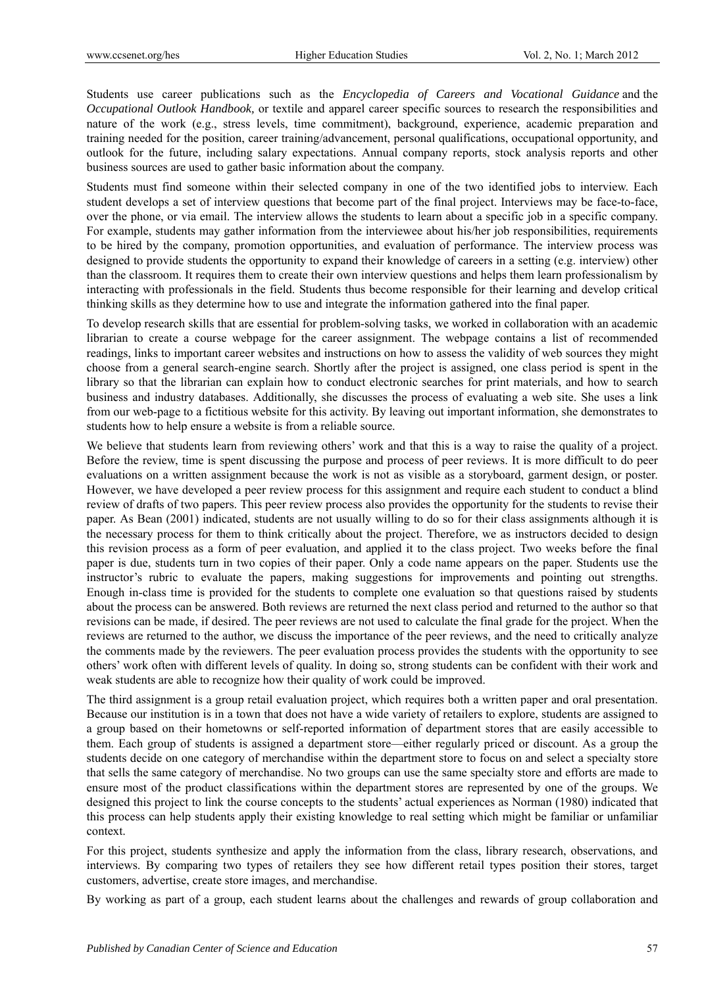Students use career publications such as the *Encyclopedia of Careers and Vocational Guidance* and the *Occupational Outlook Handbook,* or textile and apparel career specific sources to research the responsibilities and nature of the work (e.g., stress levels, time commitment), background, experience, academic preparation and training needed for the position, career training/advancement, personal qualifications, occupational opportunity, and outlook for the future, including salary expectations. Annual company reports, stock analysis reports and other business sources are used to gather basic information about the company.

Students must find someone within their selected company in one of the two identified jobs to interview. Each student develops a set of interview questions that become part of the final project. Interviews may be face-to-face, over the phone, or via email. The interview allows the students to learn about a specific job in a specific company. For example, students may gather information from the interviewee about his/her job responsibilities, requirements to be hired by the company, promotion opportunities, and evaluation of performance. The interview process was designed to provide students the opportunity to expand their knowledge of careers in a setting (e.g. interview) other than the classroom. It requires them to create their own interview questions and helps them learn professionalism by interacting with professionals in the field. Students thus become responsible for their learning and develop critical thinking skills as they determine how to use and integrate the information gathered into the final paper.

To develop research skills that are essential for problem-solving tasks, we worked in collaboration with an academic librarian to create a course webpage for the career assignment. The webpage contains a list of recommended readings, links to important career websites and instructions on how to assess the validity of web sources they might choose from a general search-engine search. Shortly after the project is assigned, one class period is spent in the library so that the librarian can explain how to conduct electronic searches for print materials, and how to search business and industry databases. Additionally, she discusses the process of evaluating a web site. She uses a link from our web-page to a fictitious website for this activity. By leaving out important information, she demonstrates to students how to help ensure a website is from a reliable source.

We believe that students learn from reviewing others' work and that this is a way to raise the quality of a project. Before the review, time is spent discussing the purpose and process of peer reviews. It is more difficult to do peer evaluations on a written assignment because the work is not as visible as a storyboard, garment design, or poster. However, we have developed a peer review process for this assignment and require each student to conduct a blind review of drafts of two papers. This peer review process also provides the opportunity for the students to revise their paper. As Bean (2001) indicated, students are not usually willing to do so for their class assignments although it is the necessary process for them to think critically about the project. Therefore, we as instructors decided to design this revision process as a form of peer evaluation, and applied it to the class project. Two weeks before the final paper is due, students turn in two copies of their paper. Only a code name appears on the paper. Students use the instructor's rubric to evaluate the papers, making suggestions for improvements and pointing out strengths. Enough in-class time is provided for the students to complete one evaluation so that questions raised by students about the process can be answered. Both reviews are returned the next class period and returned to the author so that revisions can be made, if desired. The peer reviews are not used to calculate the final grade for the project. When the reviews are returned to the author, we discuss the importance of the peer reviews, and the need to critically analyze the comments made by the reviewers. The peer evaluation process provides the students with the opportunity to see others' work often with different levels of quality. In doing so, strong students can be confident with their work and weak students are able to recognize how their quality of work could be improved.

The third assignment is a group retail evaluation project, which requires both a written paper and oral presentation. Because our institution is in a town that does not have a wide variety of retailers to explore, students are assigned to a group based on their hometowns or self-reported information of department stores that are easily accessible to them. Each group of students is assigned a department store—either regularly priced or discount. As a group the students decide on one category of merchandise within the department store to focus on and select a specialty store that sells the same category of merchandise. No two groups can use the same specialty store and efforts are made to ensure most of the product classifications within the department stores are represented by one of the groups. We designed this project to link the course concepts to the students' actual experiences as Norman (1980) indicated that this process can help students apply their existing knowledge to real setting which might be familiar or unfamiliar context.

For this project, students synthesize and apply the information from the class, library research, observations, and interviews. By comparing two types of retailers they see how different retail types position their stores, target customers, advertise, create store images, and merchandise.

By working as part of a group, each student learns about the challenges and rewards of group collaboration and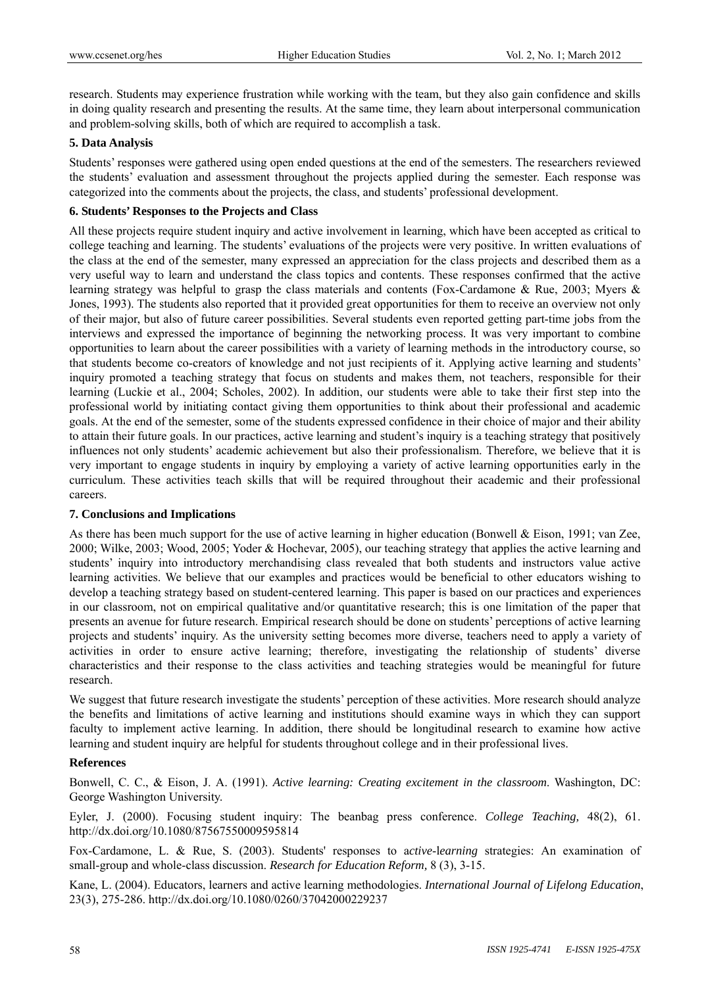research. Students may experience frustration while working with the team, but they also gain confidence and skills in doing quality research and presenting the results. At the same time, they learn about interpersonal communication and problem-solving skills, both of which are required to accomplish a task.

#### **5. Data Analysis**

Students' responses were gathered using open ended questions at the end of the semesters. The researchers reviewed the students' evaluation and assessment throughout the projects applied during the semester. Each response was categorized into the comments about the projects, the class, and students' professional development.

#### **6. Students' Responses to the Projects and Class**

All these projects require student inquiry and active involvement in learning, which have been accepted as critical to college teaching and learning. The students' evaluations of the projects were very positive. In written evaluations of the class at the end of the semester, many expressed an appreciation for the class projects and described them as a very useful way to learn and understand the class topics and contents. These responses confirmed that the active learning strategy was helpful to grasp the class materials and contents (Fox-Cardamone & Rue, 2003; Myers & Jones, 1993). The students also reported that it provided great opportunities for them to receive an overview not only of their major, but also of future career possibilities. Several students even reported getting part-time jobs from the interviews and expressed the importance of beginning the networking process. It was very important to combine opportunities to learn about the career possibilities with a variety of learning methods in the introductory course, so that students become co-creators of knowledge and not just recipients of it. Applying active learning and students' inquiry promoted a teaching strategy that focus on students and makes them, not teachers, responsible for their learning (Luckie et al., 2004; Scholes, 2002). In addition, our students were able to take their first step into the professional world by initiating contact giving them opportunities to think about their professional and academic goals. At the end of the semester, some of the students expressed confidence in their choice of major and their ability to attain their future goals. In our practices, active learning and student's inquiry is a teaching strategy that positively influences not only students' academic achievement but also their professionalism. Therefore, we believe that it is very important to engage students in inquiry by employing a variety of active learning opportunities early in the curriculum. These activities teach skills that will be required throughout their academic and their professional careers.

#### **7. Conclusions and Implications**

As there has been much support for the use of active learning in higher education (Bonwell & Eison, 1991; van Zee, 2000; Wilke, 2003; Wood, 2005; Yoder & Hochevar, 2005), our teaching strategy that applies the active learning and students' inquiry into introductory merchandising class revealed that both students and instructors value active learning activities. We believe that our examples and practices would be beneficial to other educators wishing to develop a teaching strategy based on student-centered learning. This paper is based on our practices and experiences in our classroom, not on empirical qualitative and/or quantitative research; this is one limitation of the paper that presents an avenue for future research. Empirical research should be done on students' perceptions of active learning projects and students' inquiry. As the university setting becomes more diverse, teachers need to apply a variety of activities in order to ensure active learning; therefore, investigating the relationship of students' diverse characteristics and their response to the class activities and teaching strategies would be meaningful for future research.

We suggest that future research investigate the students' perception of these activities. More research should analyze the benefits and limitations of active learning and institutions should examine ways in which they can support faculty to implement active learning. In addition, there should be longitudinal research to examine how active learning and student inquiry are helpful for students throughout college and in their professional lives.

#### **References**

Bonwell, C. C., & Eison, J. A. (1991). *Active learning: Creating excitement in the classroom*. Washington, DC: George Washington University.

Eyler, J. (2000). Focusing student inquiry: The beanbag press conference. *College Teaching,* 48(2), 61. http://dx.doi.org/10.1080/87567550009595814

Fox-Cardamone, L. & Rue, S. (2003). Students' responses to a*ctive*-l*earning* strategies: An examination of small-group and whole-class discussion. *Research for Education Reform,* 8 (3), 3-15.

Kane, L. (2004). Educators, learners and active learning methodologies. *International Journal of Lifelong Education*, 23(3), 275-286. http://dx.doi.org/10.1080/0260/37042000229237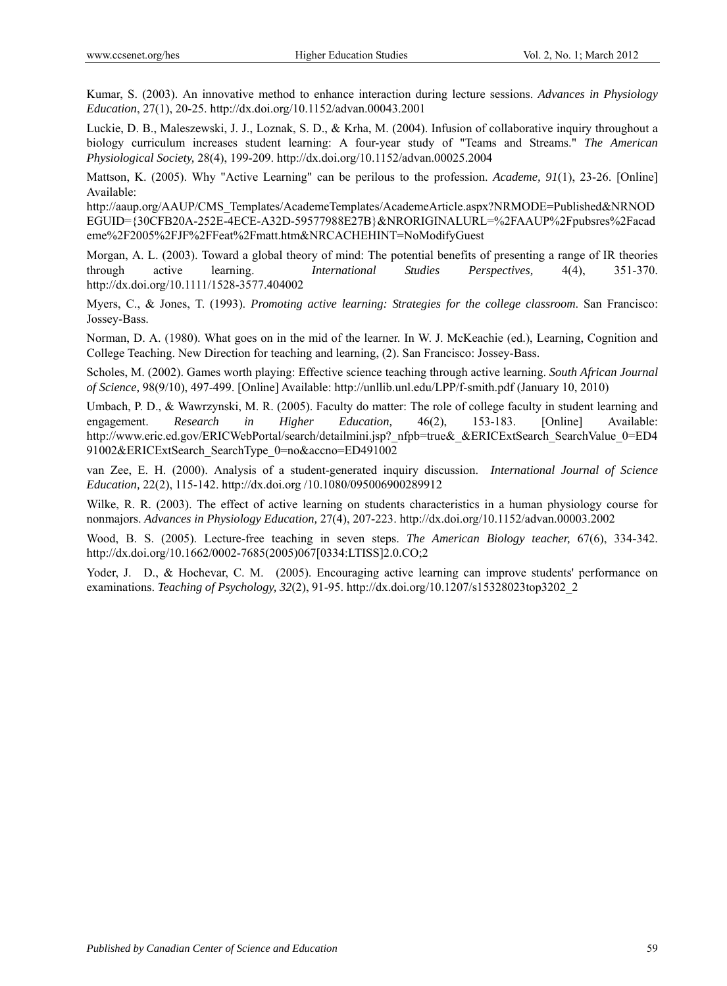Kumar, S. (2003). An innovative method to enhance interaction during lecture sessions. *Advances in Physiology Education*, 27(1), 20-25. http://dx.doi.org/10.1152/advan.00043.2001

Luckie, D. B., Maleszewski, J. J., Loznak, S. D., & Krha, M. (2004). Infusion of collaborative inquiry throughout a biology curriculum increases student learning: A four-year study of "Teams and Streams." *The American Physiological Society,* 28(4), 199-209. http://dx.doi.org/10.1152/advan.00025.2004

Mattson, K. (2005). Why "Active Learning" can be perilous to the profession. *Academe, 91*(1), 23-26. [Online] Available:

http://aaup.org/AAUP/CMS\_Templates/AcademeTemplates/AcademeArticle.aspx?NRMODE=Published&NRNOD EGUID={30CFB20A-252E-4ECE-A32D-59577988E27B}&NRORIGINALURL=%2FAAUP%2Fpubsres%2Facad eme%2F2005%2FJF%2FFeat%2Fmatt.htm&NRCACHEHINT=NoModifyGuest

Morgan, A. L. (2003). Toward a global theory of mind: The potential benefits of presenting a range of IR theories through active learning. *International Studies Perspectives,* 4(4), 351-370. http://dx.doi.org/10.1111/1528-3577.404002

Myers, C., & Jones, T. (1993). *Promoting active learning: Strategies for the college classroom*. San Francisco: Jossey-Bass.

Norman, D. A. (1980). What goes on in the mid of the learner. In W. J. McKeachie (ed.), Learning, Cognition and College Teaching. New Direction for teaching and learning, (2). San Francisco: Jossey-Bass.

Scholes, M. (2002). Games worth playing: Effective science teaching through active learning. *South African Journal of Science,* 98(9/10), 497-499. [Online] Available: http://unllib.unl.edu/LPP/f-smith.pdf (January 10, 2010)

Umbach, P. D., & Wawrzynski, M. R. (2005). Faculty do matter: The role of college faculty in student learning and engagement. *Research in Higher Education,* 46(2), 153-183. [Online] Available: http://www.eric.ed.gov/ERICWebPortal/search/detailmini.jsp?\_nfpb=true&\_&ERICExtSearch\_SearchValue\_0=ED4 91002&ERICExtSearch\_SearchType\_0=no&accno=ED491002

van Zee, E. H. (2000). Analysis of a student-generated inquiry discussion. *International Journal of Science Education,* 22(2), 115-142. http://dx.doi.org /10.1080/095006900289912

Wilke, R. R. (2003). The effect of active learning on students characteristics in a human physiology course for nonmajors. *Advances in Physiology Education,* 27(4), 207-223. http://dx.doi.org/10.1152/advan.00003.2002

Wood, B. S. (2005). Lecture-free teaching in seven steps. *The American Biology teacher,* 67(6), 334-342. http://dx.doi.org/10.1662/0002-7685(2005)067[0334:LTISS]2.0.CO;2

Yoder, J. D., & Hochevar, C. M. (2005). Encouraging active learning can improve students' performance on examinations. *Teaching of Psychology, 32*(2), 91-95. http://dx.doi.org/10.1207/s15328023top3202\_2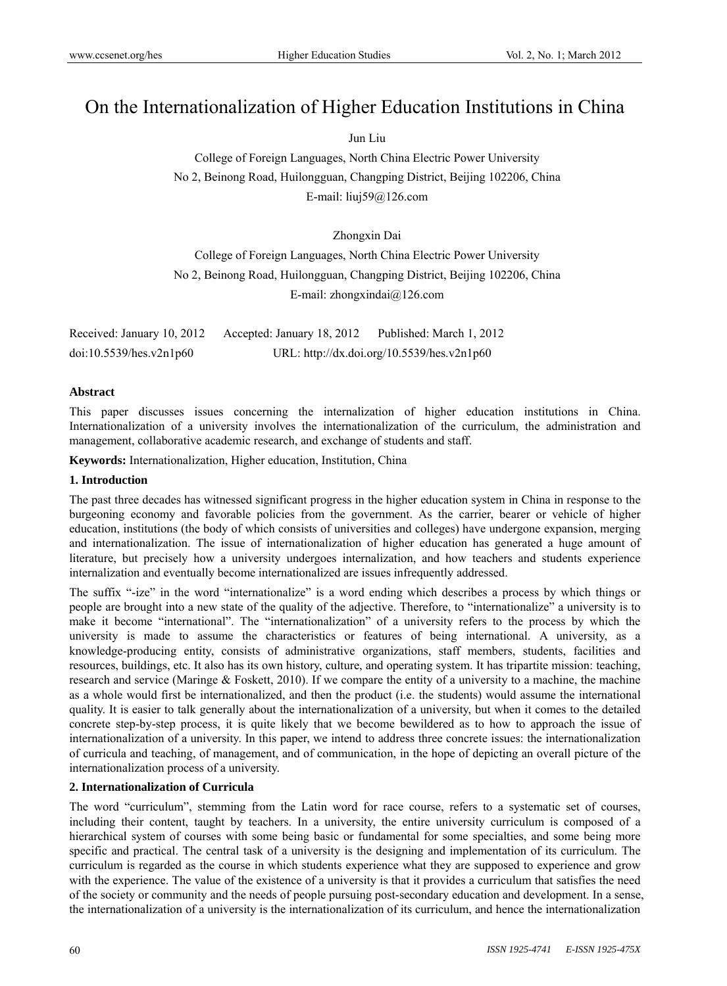## On the Internationalization of Higher Education Institutions in China

Jun Liu

College of Foreign Languages, North China Electric Power University No 2, Beinong Road, Huilongguan, Changping District, Beijing 102206, China E-mail: liuj59@126.com

## Zhongxin Dai

College of Foreign Languages, North China Electric Power University No 2, Beinong Road, Huilongguan, Changping District, Beijing 102206, China E-mail: zhongxindai@126.com

Received: January 10, 2012 Accepted: January 18, 2012 Published: March 1, 2012 doi:10.5539/hes.v2n1p60 URL: http://dx.doi.org/10.5539/hes.v2n1p60

## **Abstract**

This paper discusses issues concerning the internalization of higher education institutions in China. Internationalization of a university involves the internationalization of the curriculum, the administration and management, collaborative academic research, and exchange of students and staff.

**Keywords:** Internationalization, Higher education, Institution, China

## **1. Introduction**

The past three decades has witnessed significant progress in the higher education system in China in response to the burgeoning economy and favorable policies from the government. As the carrier, bearer or vehicle of higher education, institutions (the body of which consists of universities and colleges) have undergone expansion, merging and internationalization. The issue of internationalization of higher education has generated a huge amount of literature, but precisely how a university undergoes internalization, and how teachers and students experience internalization and eventually become internationalized are issues infrequently addressed.

The suffix "-ize" in the word "internationalize" is a word ending which describes a process by which things or people are brought into a new state of the quality of the adjective. Therefore, to "internationalize" a university is to make it become "international". The "internationalization" of a university refers to the process by which the university is made to assume the characteristics or features of being international. A university, as a knowledge-producing entity, consists of administrative organizations, staff members, students, facilities and resources, buildings, etc. It also has its own history, culture, and operating system. It has tripartite mission: teaching, research and service (Maringe & Foskett, 2010). If we compare the entity of a university to a machine, the machine as a whole would first be internationalized, and then the product (i.e. the students) would assume the international quality. It is easier to talk generally about the internationalization of a university, but when it comes to the detailed concrete step-by-step process, it is quite likely that we become bewildered as to how to approach the issue of internationalization of a university. In this paper, we intend to address three concrete issues: the internationalization of curricula and teaching, of management, and of communication, in the hope of depicting an overall picture of the internationalization process of a university.

## **2. Internationalization of Curricula**

The word "curriculum", stemming from the Latin word for race course, refers to a systematic set of courses, including their content, taught by teachers. In a university, the entire university curriculum is composed of a hierarchical system of courses with some being basic or fundamental for some specialties, and some being more specific and practical. The central task of a university is the designing and implementation of its curriculum. The curriculum is regarded as the course in which students experience what they are supposed to experience and grow with the experience. The value of the existence of a university is that it provides a curriculum that satisfies the need of the society or community and the needs of people pursuing post-secondary education and development. In a sense, the internationalization of a university is the internationalization of its curriculum, and hence the internationalization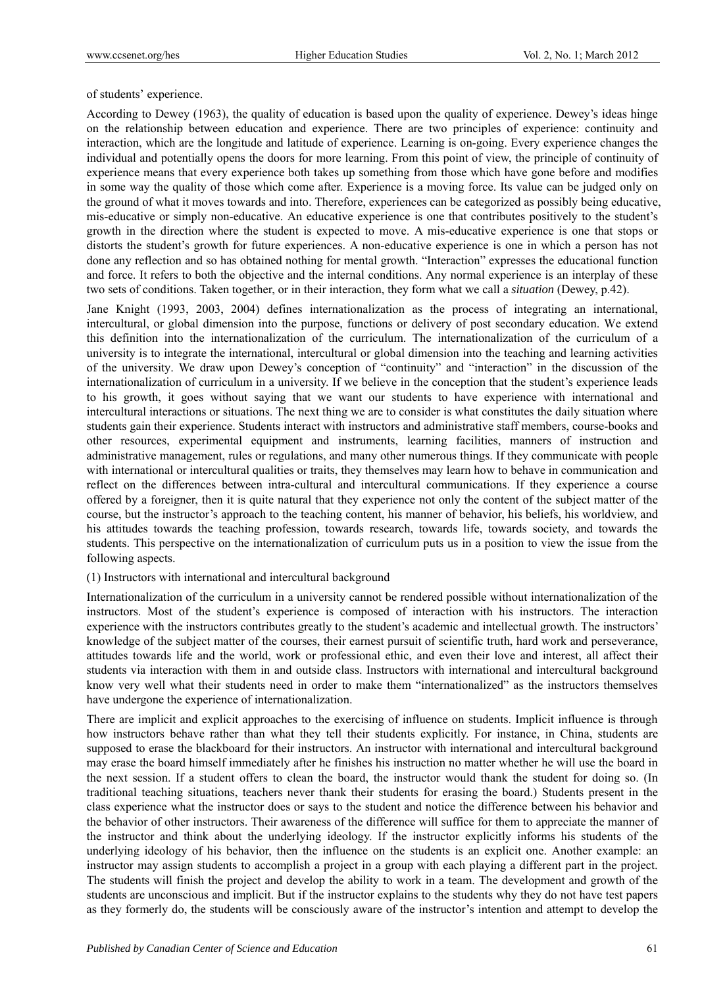of students' experience.

According to Dewey (1963), the quality of education is based upon the quality of experience. Dewey's ideas hinge on the relationship between education and experience. There are two principles of experience: continuity and interaction, which are the longitude and latitude of experience. Learning is on-going. Every experience changes the individual and potentially opens the doors for more learning. From this point of view, the principle of continuity of experience means that every experience both takes up something from those which have gone before and modifies in some way the quality of those which come after. Experience is a moving force. Its value can be judged only on the ground of what it moves towards and into. Therefore, experiences can be categorized as possibly being educative, mis-educative or simply non-educative. An educative experience is one that contributes positively to the student's growth in the direction where the student is expected to move. A mis-educative experience is one that stops or distorts the student's growth for future experiences. A non-educative experience is one in which a person has not done any reflection and so has obtained nothing for mental growth. "Interaction" expresses the educational function and force. It refers to both the objective and the internal conditions. Any normal experience is an interplay of these two sets of conditions. Taken together, or in their interaction, they form what we call a *situation* (Dewey, p.42).

Jane Knight (1993, 2003, 2004) defines internationalization as the process of integrating an international, intercultural, or global dimension into the purpose, functions or delivery of post secondary education. We extend this definition into the internationalization of the curriculum. The internationalization of the curriculum of a university is to integrate the international, intercultural or global dimension into the teaching and learning activities of the university. We draw upon Dewey's conception of "continuity" and "interaction" in the discussion of the internationalization of curriculum in a university. If we believe in the conception that the student's experience leads to his growth, it goes without saying that we want our students to have experience with international and intercultural interactions or situations. The next thing we are to consider is what constitutes the daily situation where students gain their experience. Students interact with instructors and administrative staff members, course-books and other resources, experimental equipment and instruments, learning facilities, manners of instruction and administrative management, rules or regulations, and many other numerous things. If they communicate with people with international or intercultural qualities or traits, they themselves may learn how to behave in communication and reflect on the differences between intra-cultural and intercultural communications. If they experience a course offered by a foreigner, then it is quite natural that they experience not only the content of the subject matter of the course, but the instructor's approach to the teaching content, his manner of behavior, his beliefs, his worldview, and his attitudes towards the teaching profession, towards research, towards life, towards society, and towards the students. This perspective on the internationalization of curriculum puts us in a position to view the issue from the following aspects.

#### (1) Instructors with international and intercultural background

Internationalization of the curriculum in a university cannot be rendered possible without internationalization of the instructors. Most of the student's experience is composed of interaction with his instructors. The interaction experience with the instructors contributes greatly to the student's academic and intellectual growth. The instructors' knowledge of the subject matter of the courses, their earnest pursuit of scientific truth, hard work and perseverance, attitudes towards life and the world, work or professional ethic, and even their love and interest, all affect their students via interaction with them in and outside class. Instructors with international and intercultural background know very well what their students need in order to make them "internationalized" as the instructors themselves have undergone the experience of internationalization.

There are implicit and explicit approaches to the exercising of influence on students. Implicit influence is through how instructors behave rather than what they tell their students explicitly. For instance, in China, students are supposed to erase the blackboard for their instructors. An instructor with international and intercultural background may erase the board himself immediately after he finishes his instruction no matter whether he will use the board in the next session. If a student offers to clean the board, the instructor would thank the student for doing so. (In traditional teaching situations, teachers never thank their students for erasing the board.) Students present in the class experience what the instructor does or says to the student and notice the difference between his behavior and the behavior of other instructors. Their awareness of the difference will suffice for them to appreciate the manner of the instructor and think about the underlying ideology. If the instructor explicitly informs his students of the underlying ideology of his behavior, then the influence on the students is an explicit one. Another example: an instructor may assign students to accomplish a project in a group with each playing a different part in the project. The students will finish the project and develop the ability to work in a team. The development and growth of the students are unconscious and implicit. But if the instructor explains to the students why they do not have test papers as they formerly do, the students will be consciously aware of the instructor's intention and attempt to develop the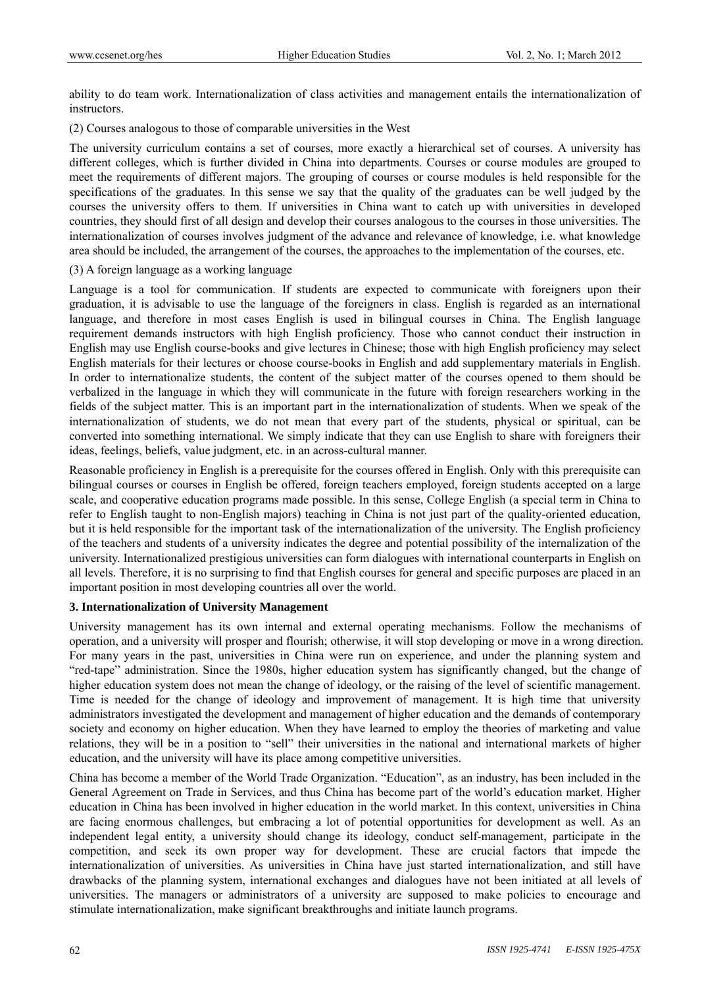ability to do team work. Internationalization of class activities and management entails the internationalization of **instructors** 

(2) Courses analogous to those of comparable universities in the West

The university curriculum contains a set of courses, more exactly a hierarchical set of courses. A university has different colleges, which is further divided in China into departments. Courses or course modules are grouped to meet the requirements of different majors. The grouping of courses or course modules is held responsible for the specifications of the graduates. In this sense we say that the quality of the graduates can be well judged by the courses the university offers to them. If universities in China want to catch up with universities in developed countries, they should first of all design and develop their courses analogous to the courses in those universities. The internationalization of courses involves judgment of the advance and relevance of knowledge, i.e. what knowledge area should be included, the arrangement of the courses, the approaches to the implementation of the courses, etc.

## (3) A foreign language as a working language

Language is a tool for communication. If students are expected to communicate with foreigners upon their graduation, it is advisable to use the language of the foreigners in class. English is regarded as an international language, and therefore in most cases English is used in bilingual courses in China. The English language requirement demands instructors with high English proficiency. Those who cannot conduct their instruction in English may use English course-books and give lectures in Chinese; those with high English proficiency may select English materials for their lectures or choose course-books in English and add supplementary materials in English. In order to internationalize students, the content of the subject matter of the courses opened to them should be verbalized in the language in which they will communicate in the future with foreign researchers working in the fields of the subject matter. This is an important part in the internationalization of students. When we speak of the internationalization of students, we do not mean that every part of the students, physical or spiritual, can be converted into something international. We simply indicate that they can use English to share with foreigners their ideas, feelings, beliefs, value judgment, etc. in an across-cultural manner.

Reasonable proficiency in English is a prerequisite for the courses offered in English. Only with this prerequisite can bilingual courses or courses in English be offered, foreign teachers employed, foreign students accepted on a large scale, and cooperative education programs made possible. In this sense, College English (a special term in China to refer to English taught to non-English majors) teaching in China is not just part of the quality-oriented education, but it is held responsible for the important task of the internationalization of the university. The English proficiency of the teachers and students of a university indicates the degree and potential possibility of the internalization of the university. Internationalized prestigious universities can form dialogues with international counterparts in English on all levels. Therefore, it is no surprising to find that English courses for general and specific purposes are placed in an important position in most developing countries all over the world.

## **3. Internationalization of University Management**

University management has its own internal and external operating mechanisms. Follow the mechanisms of operation, and a university will prosper and flourish; otherwise, it will stop developing or move in a wrong direction. For many years in the past, universities in China were run on experience, and under the planning system and "red-tape" administration. Since the 1980s, higher education system has significantly changed, but the change of higher education system does not mean the change of ideology, or the raising of the level of scientific management. Time is needed for the change of ideology and improvement of management. It is high time that university administrators investigated the development and management of higher education and the demands of contemporary society and economy on higher education. When they have learned to employ the theories of marketing and value relations, they will be in a position to "sell" their universities in the national and international markets of higher education, and the university will have its place among competitive universities.

China has become a member of the World Trade Organization. "Education", as an industry, has been included in the General Agreement on Trade in Services, and thus China has become part of the world's education market. Higher education in China has been involved in higher education in the world market. In this context, universities in China are facing enormous challenges, but embracing a lot of potential opportunities for development as well. As an independent legal entity, a university should change its ideology, conduct self-management, participate in the competition, and seek its own proper way for development. These are crucial factors that impede the internationalization of universities. As universities in China have just started internationalization, and still have drawbacks of the planning system, international exchanges and dialogues have not been initiated at all levels of universities. The managers or administrators of a university are supposed to make policies to encourage and stimulate internationalization, make significant breakthroughs and initiate launch programs.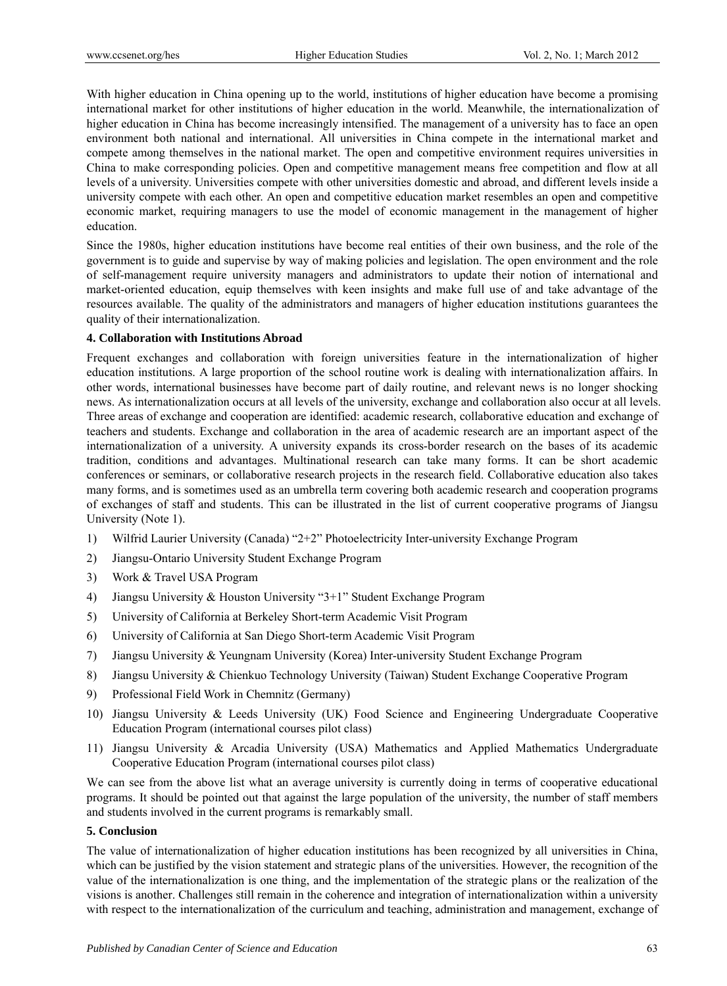With higher education in China opening up to the world, institutions of higher education have become a promising international market for other institutions of higher education in the world. Meanwhile, the internationalization of higher education in China has become increasingly intensified. The management of a university has to face an open environment both national and international. All universities in China compete in the international market and compete among themselves in the national market. The open and competitive environment requires universities in China to make corresponding policies. Open and competitive management means free competition and flow at all levels of a university. Universities compete with other universities domestic and abroad, and different levels inside a university compete with each other. An open and competitive education market resembles an open and competitive economic market, requiring managers to use the model of economic management in the management of higher education.

Since the 1980s, higher education institutions have become real entities of their own business, and the role of the government is to guide and supervise by way of making policies and legislation. The open environment and the role of self-management require university managers and administrators to update their notion of international and market-oriented education, equip themselves with keen insights and make full use of and take advantage of the resources available. The quality of the administrators and managers of higher education institutions guarantees the quality of their internationalization.

#### **4. Collaboration with Institutions Abroad**

Frequent exchanges and collaboration with foreign universities feature in the internationalization of higher education institutions. A large proportion of the school routine work is dealing with internationalization affairs. In other words, international businesses have become part of daily routine, and relevant news is no longer shocking news. As internationalization occurs at all levels of the university, exchange and collaboration also occur at all levels. Three areas of exchange and cooperation are identified: academic research, collaborative education and exchange of teachers and students. Exchange and collaboration in the area of academic research are an important aspect of the internationalization of a university. A university expands its cross-border research on the bases of its academic tradition, conditions and advantages. Multinational research can take many forms. It can be short academic conferences or seminars, or collaborative research projects in the research field. Collaborative education also takes many forms, and is sometimes used as an umbrella term covering both academic research and cooperation programs of exchanges of staff and students. This can be illustrated in the list of current cooperative programs of Jiangsu University (Note 1).

- 1) Wilfrid Laurier University (Canada) "2+2" Photoelectricity Inter-university Exchange Program
- 2) Jiangsu-Ontario University Student Exchange Program
- 3) Work & Travel USA Program
- 4) Jiangsu University & Houston University "3+1" Student Exchange Program
- 5) University of California at Berkeley Short-term Academic Visit Program
- 6) University of California at San Diego Short-term Academic Visit Program
- 7) Jiangsu University & Yeungnam University (Korea) Inter-university Student Exchange Program
- 8) Jiangsu University & Chienkuo Technology University (Taiwan) Student Exchange Cooperative Program
- 9) Professional Field Work in Chemnitz (Germany)
- 10) Jiangsu University & Leeds University (UK) Food Science and Engineering Undergraduate Cooperative Education Program (international courses pilot class)
- 11) Jiangsu University & Arcadia University (USA) Mathematics and Applied Mathematics Undergraduate Cooperative Education Program (international courses pilot class)

We can see from the above list what an average university is currently doing in terms of cooperative educational programs. It should be pointed out that against the large population of the university, the number of staff members and students involved in the current programs is remarkably small.

#### **5. Conclusion**

The value of internationalization of higher education institutions has been recognized by all universities in China, which can be justified by the vision statement and strategic plans of the universities. However, the recognition of the value of the internationalization is one thing, and the implementation of the strategic plans or the realization of the visions is another. Challenges still remain in the coherence and integration of internationalization within a university with respect to the internationalization of the curriculum and teaching, administration and management, exchange of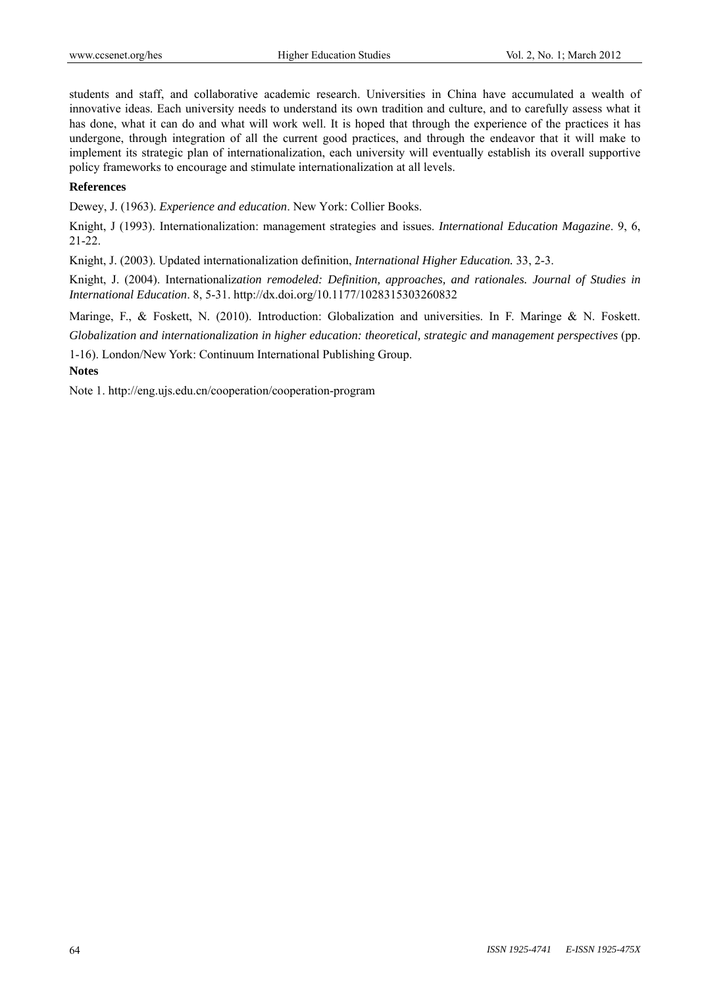students and staff, and collaborative academic research. Universities in China have accumulated a wealth of innovative ideas. Each university needs to understand its own tradition and culture, and to carefully assess what it has done, what it can do and what will work well. It is hoped that through the experience of the practices it has undergone, through integration of all the current good practices, and through the endeavor that it will make to implement its strategic plan of internationalization, each university will eventually establish its overall supportive policy frameworks to encourage and stimulate internationalization at all levels.

#### **References**

Dewey, J. (1963). *Experience and education*. New York: Collier Books.

Knight, J (1993). Internationalization: management strategies and issues. *International Education Magazine*. 9, 6, 21-22.

Knight, J. (2003). Updated internationalization definition, *International Higher Education.* 33, 2-3.

Knight, J. (2004). Internationaliz*ation remodeled: Definition, approaches, and rationales. Journal of Studies in International Education*. 8, 5-31. http://dx.doi.org/10.1177/1028315303260832

Maringe, F., & Foskett, N. (2010). Introduction: Globalization and universities. In F. Maringe & N. Foskett. *Globalization and internationalization in higher education: theoretical, strategic and management perspectives* (pp.

1-16). London/New York: Continuum International Publishing Group.

#### **Notes**

Note 1. http://eng.ujs.edu.cn/cooperation/cooperation-program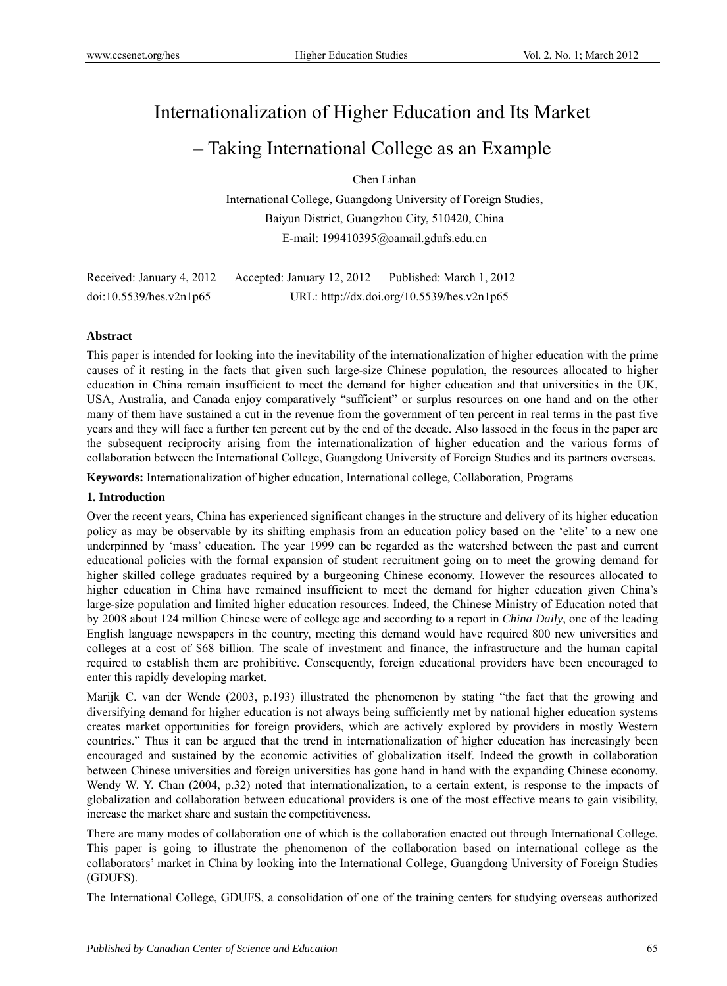# Internationalization of Higher Education and Its Market

## – Taking International College as an Example

Chen Linhan

International College, Guangdong University of Foreign Studies, Baiyun District, Guangzhou City, 510420, China E-mail: 199410395@oamail.gdufs.edu.cn

| Received: January 4, 2012 | Accepted: January 12, 2012 | Published: March 1, 2012                   |
|---------------------------|----------------------------|--------------------------------------------|
| doi:10.5539/hes.v2n1p65   |                            | URL: http://dx.doi.org/10.5539/hes.v2n1p65 |

## **Abstract**

This paper is intended for looking into the inevitability of the internationalization of higher education with the prime causes of it resting in the facts that given such large-size Chinese population, the resources allocated to higher education in China remain insufficient to meet the demand for higher education and that universities in the UK, USA, Australia, and Canada enjoy comparatively "sufficient" or surplus resources on one hand and on the other many of them have sustained a cut in the revenue from the government of ten percent in real terms in the past five years and they will face a further ten percent cut by the end of the decade. Also lassoed in the focus in the paper are the subsequent reciprocity arising from the internationalization of higher education and the various forms of collaboration between the International College, Guangdong University of Foreign Studies and its partners overseas.

**Keywords:** Internationalization of higher education, International college, Collaboration, Programs

#### **1. Introduction**

Over the recent years, China has experienced significant changes in the structure and delivery of its higher education policy as may be observable by its shifting emphasis from an education policy based on the 'elite' to a new one underpinned by 'mass' education. The year 1999 can be regarded as the watershed between the past and current educational policies with the formal expansion of student recruitment going on to meet the growing demand for higher skilled college graduates required by a burgeoning Chinese economy. However the resources allocated to higher education in China have remained insufficient to meet the demand for higher education given China's large-size population and limited higher education resources. Indeed, the Chinese Ministry of Education noted that by 2008 about 124 million Chinese were of college age and according to a report in *China Daily*, one of the leading English language newspapers in the country, meeting this demand would have required 800 new universities and colleges at a cost of \$68 billion. The scale of investment and finance, the infrastructure and the human capital required to establish them are prohibitive. Consequently, foreign educational providers have been encouraged to enter this rapidly developing market.

Marijk C. van der Wende (2003, p.193) illustrated the phenomenon by stating "the fact that the growing and diversifying demand for higher education is not always being sufficiently met by national higher education systems creates market opportunities for foreign providers, which are actively explored by providers in mostly Western countries." Thus it can be argued that the trend in internationalization of higher education has increasingly been encouraged and sustained by the economic activities of globalization itself. Indeed the growth in collaboration between Chinese universities and foreign universities has gone hand in hand with the expanding Chinese economy. Wendy W. Y. Chan (2004, p.32) noted that internationalization, to a certain extent, is response to the impacts of globalization and collaboration between educational providers is one of the most effective means to gain visibility, increase the market share and sustain the competitiveness.

There are many modes of collaboration one of which is the collaboration enacted out through International College. This paper is going to illustrate the phenomenon of the collaboration based on international college as the collaborators' market in China by looking into the International College, Guangdong University of Foreign Studies (GDUFS).

The International College, GDUFS, a consolidation of one of the training centers for studying overseas authorized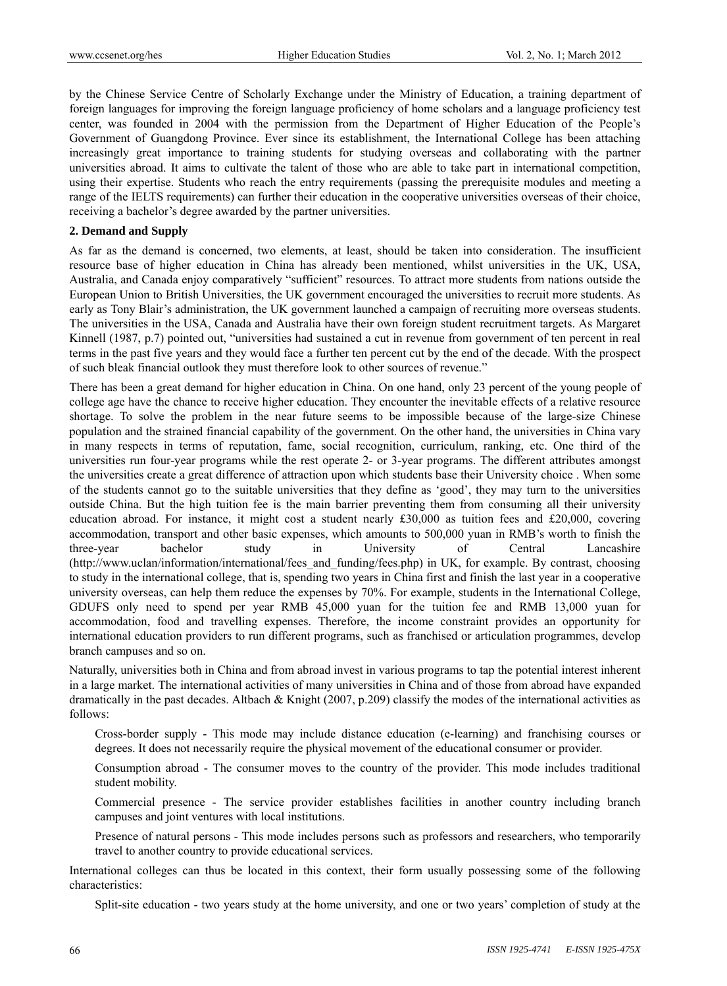by the Chinese Service Centre of Scholarly Exchange under the Ministry of Education, a training department of foreign languages for improving the foreign language proficiency of home scholars and a language proficiency test center, was founded in 2004 with the permission from the Department of Higher Education of the People's Government of Guangdong Province. Ever since its establishment, the International College has been attaching increasingly great importance to training students for studying overseas and collaborating with the partner universities abroad. It aims to cultivate the talent of those who are able to take part in international competition, using their expertise. Students who reach the entry requirements (passing the prerequisite modules and meeting a range of the IELTS requirements) can further their education in the cooperative universities overseas of their choice, receiving a bachelor's degree awarded by the partner universities.

#### **2. Demand and Supply**

As far as the demand is concerned, two elements, at least, should be taken into consideration. The insufficient resource base of higher education in China has already been mentioned, whilst universities in the UK, USA, Australia, and Canada enjoy comparatively "sufficient" resources. To attract more students from nations outside the European Union to British Universities, the UK government encouraged the universities to recruit more students. As early as Tony Blair's administration, the UK government launched a campaign of recruiting more overseas students. The universities in the USA, Canada and Australia have their own foreign student recruitment targets. As Margaret Kinnell (1987, p.7) pointed out, "universities had sustained a cut in revenue from government of ten percent in real terms in the past five years and they would face a further ten percent cut by the end of the decade. With the prospect of such bleak financial outlook they must therefore look to other sources of revenue."

There has been a great demand for higher education in China. On one hand, only 23 percent of the young people of college age have the chance to receive higher education. They encounter the inevitable effects of a relative resource shortage. To solve the problem in the near future seems to be impossible because of the large-size Chinese population and the strained financial capability of the government. On the other hand, the universities in China vary in many respects in terms of reputation, fame, social recognition, curriculum, ranking, etc. One third of the universities run four-year programs while the rest operate 2- or 3-year programs. The different attributes amongst the universities create a great difference of attraction upon which students base their University choice . When some of the students cannot go to the suitable universities that they define as 'good', they may turn to the universities outside China. But the high tuition fee is the main barrier preventing them from consuming all their university education abroad. For instance, it might cost a student nearly £30,000 as tuition fees and £20,000, covering accommodation, transport and other basic expenses, which amounts to 500,000 yuan in RMB's worth to finish the three-year bachelor study in University of Central Lancashire (http://www.uclan/information/international/fees\_and\_funding/fees.php) in UK, for example. By contrast, choosing to study in the international college, that is, spending two years in China first and finish the last year in a cooperative university overseas, can help them reduce the expenses by 70%. For example, students in the International College, GDUFS only need to spend per year RMB 45,000 yuan for the tuition fee and RMB 13,000 yuan for accommodation, food and travelling expenses. Therefore, the income constraint provides an opportunity for international education providers to run different programs, such as franchised or articulation programmes, develop branch campuses and so on.

Naturally, universities both in China and from abroad invest in various programs to tap the potential interest inherent in a large market. The international activities of many universities in China and of those from abroad have expanded dramatically in the past decades. Altbach & Knight (2007, p.209) classify the modes of the international activities as follows:

Cross-border supply - This mode may include distance education (e-learning) and franchising courses or degrees. It does not necessarily require the physical movement of the educational consumer or provider.

Consumption abroad - The consumer moves to the country of the provider. This mode includes traditional student mobility.

Commercial presence - The service provider establishes facilities in another country including branch campuses and joint ventures with local institutions.

Presence of natural persons - This mode includes persons such as professors and researchers, who temporarily travel to another country to provide educational services.

International colleges can thus be located in this context, their form usually possessing some of the following characteristics:

Split-site education - two years study at the home university, and one or two years' completion of study at the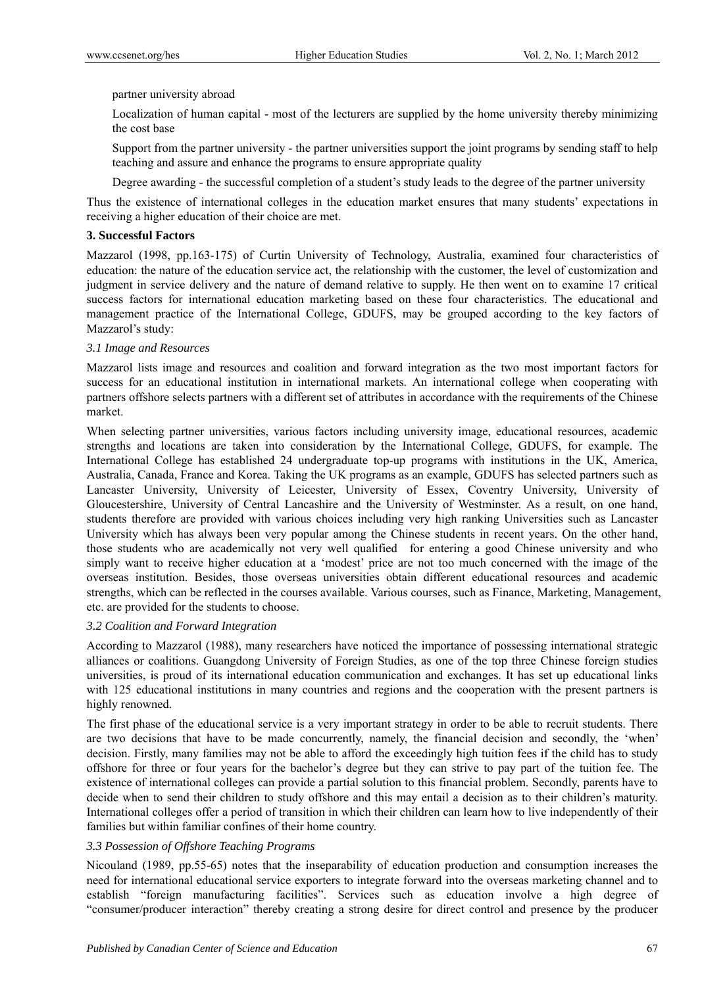#### partner university abroad

Localization of human capital - most of the lecturers are supplied by the home university thereby minimizing the cost base

Support from the partner university - the partner universities support the joint programs by sending staff to help teaching and assure and enhance the programs to ensure appropriate quality

Degree awarding - the successful completion of a student's study leads to the degree of the partner university

Thus the existence of international colleges in the education market ensures that many students' expectations in receiving a higher education of their choice are met.

#### **3. Successful Factors**

Mazzarol (1998, pp.163-175) of Curtin University of Technology, Australia, examined four characteristics of education: the nature of the education service act, the relationship with the customer, the level of customization and judgment in service delivery and the nature of demand relative to supply. He then went on to examine 17 critical success factors for international education marketing based on these four characteristics. The educational and management practice of the International College, GDUFS, may be grouped according to the key factors of Mazzarol's study:

#### *3.1 Image and Resources*

Mazzarol lists image and resources and coalition and forward integration as the two most important factors for success for an educational institution in international markets. An international college when cooperating with partners offshore selects partners with a different set of attributes in accordance with the requirements of the Chinese market.

When selecting partner universities, various factors including university image, educational resources, academic strengths and locations are taken into consideration by the International College, GDUFS, for example. The International College has established 24 undergraduate top-up programs with institutions in the UK, America, Australia, Canada, France and Korea. Taking the UK programs as an example, GDUFS has selected partners such as Lancaster University, University of Leicester, University of Essex, Coventry University, University of Gloucestershire, University of Central Lancashire and the University of Westminster. As a result, on one hand, students therefore are provided with various choices including very high ranking Universities such as Lancaster University which has always been very popular among the Chinese students in recent years. On the other hand, those students who are academically not very well qualified for entering a good Chinese university and who simply want to receive higher education at a 'modest' price are not too much concerned with the image of the overseas institution. Besides, those overseas universities obtain different educational resources and academic strengths, which can be reflected in the courses available. Various courses, such as Finance, Marketing, Management, etc. are provided for the students to choose.

#### *3.2 Coalition and Forward Integration*

According to Mazzarol (1988), many researchers have noticed the importance of possessing international strategic alliances or coalitions. Guangdong University of Foreign Studies, as one of the top three Chinese foreign studies universities, is proud of its international education communication and exchanges. It has set up educational links with 125 educational institutions in many countries and regions and the cooperation with the present partners is highly renowned.

The first phase of the educational service is a very important strategy in order to be able to recruit students. There are two decisions that have to be made concurrently, namely, the financial decision and secondly, the 'when' decision. Firstly, many families may not be able to afford the exceedingly high tuition fees if the child has to study offshore for three or four years for the bachelor's degree but they can strive to pay part of the tuition fee. The existence of international colleges can provide a partial solution to this financial problem. Secondly, parents have to decide when to send their children to study offshore and this may entail a decision as to their children's maturity. International colleges offer a period of transition in which their children can learn how to live independently of their families but within familiar confines of their home country.

## *3.3 Possession of Offshore Teaching Programs*

Nicouland (1989, pp.55-65) notes that the inseparability of education production and consumption increases the need for international educational service exporters to integrate forward into the overseas marketing channel and to establish "foreign manufacturing facilities". Services such as education involve a high degree of "consumer/producer interaction" thereby creating a strong desire for direct control and presence by the producer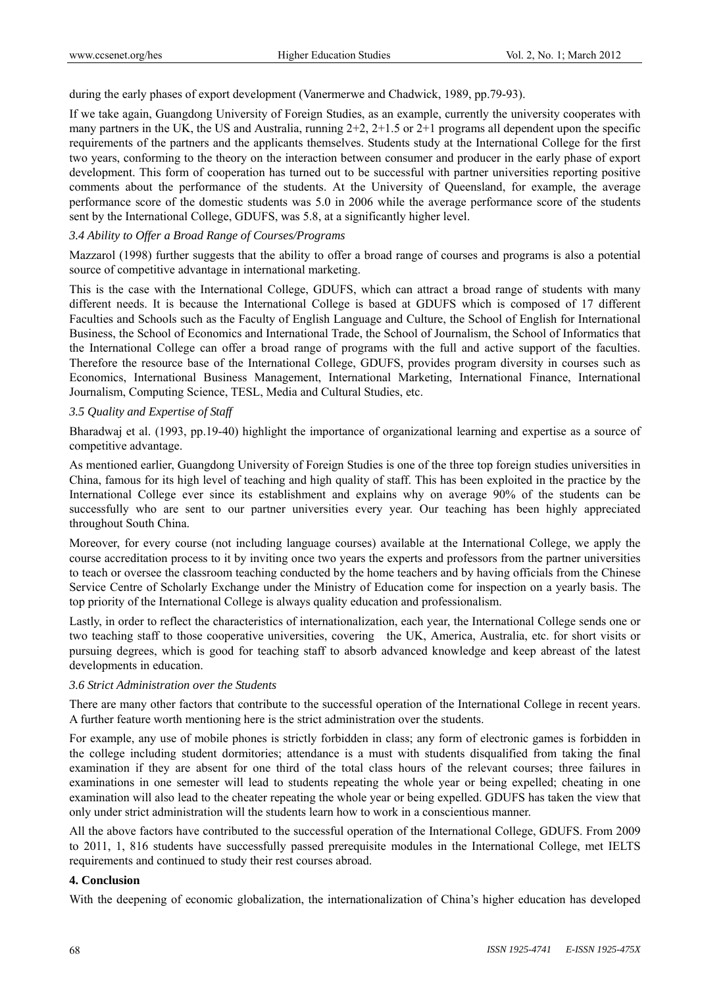during the early phases of export development (Vanermerwe and Chadwick, 1989, pp.79-93).

If we take again, Guangdong University of Foreign Studies, as an example, currently the university cooperates with many partners in the UK, the US and Australia, running  $2+2$ ,  $2+1.5$  or  $2+1$  programs all dependent upon the specific requirements of the partners and the applicants themselves. Students study at the International College for the first two years, conforming to the theory on the interaction between consumer and producer in the early phase of export development. This form of cooperation has turned out to be successful with partner universities reporting positive comments about the performance of the students. At the University of Queensland, for example, the average performance score of the domestic students was 5.0 in 2006 while the average performance score of the students sent by the International College, GDUFS, was 5.8, at a significantly higher level.

## *3.4 Ability to Offer a Broad Range of Courses/Programs*

Mazzarol (1998) further suggests that the ability to offer a broad range of courses and programs is also a potential source of competitive advantage in international marketing.

This is the case with the International College, GDUFS, which can attract a broad range of students with many different needs. It is because the International College is based at GDUFS which is composed of 17 different Faculties and Schools such as the Faculty of English Language and Culture, the School of English for International Business, the School of Economics and International Trade, the School of Journalism, the School of Informatics that the International College can offer a broad range of programs with the full and active support of the faculties. Therefore the resource base of the International College, GDUFS, provides program diversity in courses such as Economics, International Business Management, International Marketing, International Finance, International Journalism, Computing Science, TESL, Media and Cultural Studies, etc.

## *3.5 Quality and Expertise of Staff*

Bharadwaj et al. (1993, pp.19-40) highlight the importance of organizational learning and expertise as a source of competitive advantage.

As mentioned earlier, Guangdong University of Foreign Studies is one of the three top foreign studies universities in China, famous for its high level of teaching and high quality of staff. This has been exploited in the practice by the International College ever since its establishment and explains why on average 90% of the students can be successfully who are sent to our partner universities every year. Our teaching has been highly appreciated throughout South China.

Moreover, for every course (not including language courses) available at the International College, we apply the course accreditation process to it by inviting once two years the experts and professors from the partner universities to teach or oversee the classroom teaching conducted by the home teachers and by having officials from the Chinese Service Centre of Scholarly Exchange under the Ministry of Education come for inspection on a yearly basis. The top priority of the International College is always quality education and professionalism.

Lastly, in order to reflect the characteristics of internationalization, each year, the International College sends one or two teaching staff to those cooperative universities, covering the UK, America, Australia, etc. for short visits or pursuing degrees, which is good for teaching staff to absorb advanced knowledge and keep abreast of the latest developments in education.

## *3.6 Strict Administration over the Students*

There are many other factors that contribute to the successful operation of the International College in recent years. A further feature worth mentioning here is the strict administration over the students.

For example, any use of mobile phones is strictly forbidden in class; any form of electronic games is forbidden in the college including student dormitories; attendance is a must with students disqualified from taking the final examination if they are absent for one third of the total class hours of the relevant courses; three failures in examinations in one semester will lead to students repeating the whole year or being expelled; cheating in one examination will also lead to the cheater repeating the whole year or being expelled. GDUFS has taken the view that only under strict administration will the students learn how to work in a conscientious manner.

All the above factors have contributed to the successful operation of the International College, GDUFS. From 2009 to 2011, 1, 816 students have successfully passed prerequisite modules in the International College, met IELTS requirements and continued to study their rest courses abroad.

#### **4. Conclusion**

With the deepening of economic globalization, the internationalization of China's higher education has developed